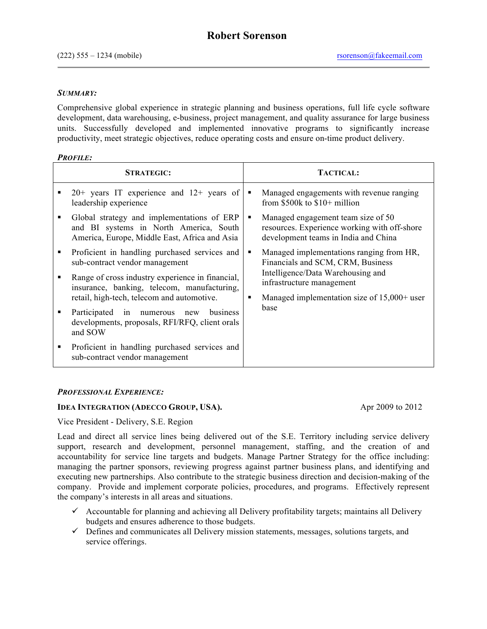### *SUMMARY:*

Comprehensive global experience in strategic planning and business operations, full life cycle software development, data warehousing, e-business, project management, and quality assurance for large business units. Successfully developed and implemented innovative programs to significantly increase productivity, meet strategic objectives, reduce operating costs and ensure on-time product delivery.

### *PROFILE:*

| <b>STRATEGIC:</b>                                                                                                                             |   | <b>TACTICAL:</b>                                                                                                                                                                                         |
|-----------------------------------------------------------------------------------------------------------------------------------------------|---|----------------------------------------------------------------------------------------------------------------------------------------------------------------------------------------------------------|
| $20+$ years IT experience and $12+$ years of<br>leadership experience                                                                         | ٠ | Managed engagements with revenue ranging<br>from $$500k$ to $$10+$ million                                                                                                                               |
| Global strategy and implementations of ERP<br>and BI systems in North America, South<br>America, Europe, Middle East, Africa and Asia         | ٠ | Managed engagement team size of 50<br>resources. Experience working with off-shore<br>development teams in India and China                                                                               |
| Proficient in handling purchased services and<br>sub-contract vendor management                                                               | ٠ | Managed implementations ranging from HR,<br>Financials and SCM, CRM, Business<br>Intelligence/Data Warehousing and<br>infrastructure management<br>Managed implementation size of $15,000+$ user<br>base |
| Range of cross industry experience in financial,<br>insurance, banking, telecom, manufacturing,<br>retail, high-tech, telecom and automotive. | ٠ |                                                                                                                                                                                                          |
| business<br>Participated in<br>numerous<br>new<br>developments, proposals, RFI/RFQ, client orals<br>and SOW                                   |   |                                                                                                                                                                                                          |
| Proficient in handling purchased services and<br>sub-contract vendor management                                                               |   |                                                                                                                                                                                                          |

# *PROFESSIONAL EXPERIENCE:*

# **IDEA INTEGRATION (ADECCO GROUP, USA).** Apr 2009 to 2012

Vice President - Delivery, S.E. Region

Lead and direct all service lines being delivered out of the S.E. Territory including service delivery support, research and development, personnel management, staffing, and the creation of and accountability for service line targets and budgets. Manage Partner Strategy for the office including: managing the partner sponsors, reviewing progress against partner business plans, and identifying and executing new partnerships. Also contribute to the strategic business direction and decision-making of the company. Provide and implement corporate policies, procedures, and programs. Effectively represent the company's interests in all areas and situations.

- $\checkmark$  Accountable for planning and achieving all Delivery profitability targets; maintains all Delivery budgets and ensures adherence to those budgets.
- $\checkmark$  Defines and communicates all Delivery mission statements, messages, solutions targets, and service offerings.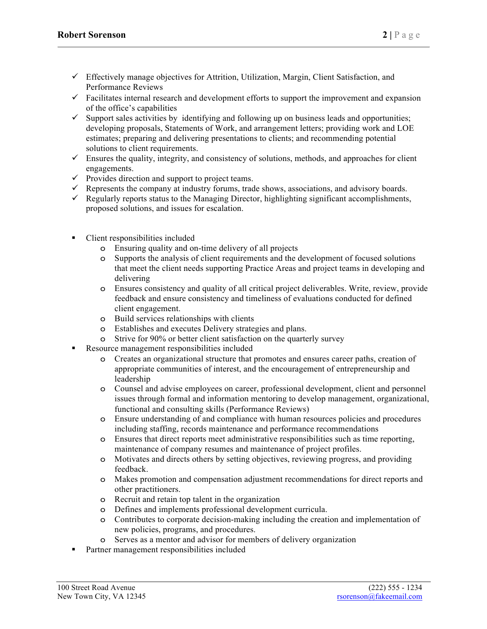- $\checkmark$  Effectively manage objectives for Attrition, Utilization, Margin, Client Satisfaction, and Performance Reviews
- $\checkmark$  Facilitates internal research and development efforts to support the improvement and expansion of the office's capabilities
- $\checkmark$  Support sales activities by identifying and following up on business leads and opportunities; developing proposals, Statements of Work, and arrangement letters; providing work and LOE estimates; preparing and delivering presentations to clients; and recommending potential solutions to client requirements.
- $\checkmark$  Ensures the quality, integrity, and consistency of solutions, methods, and approaches for client engagements.
- $\checkmark$  Provides direction and support to project teams.
- $\checkmark$  Represents the company at industry forums, trade shows, associations, and advisory boards.
- $\checkmark$  Regularly reports status to the Managing Director, highlighting significant accomplishments, proposed solutions, and issues for escalation.
- Client responsibilities included
	- o Ensuring quality and on-time delivery of all projects
	- o Supports the analysis of client requirements and the development of focused solutions that meet the client needs supporting Practice Areas and project teams in developing and delivering
	- o Ensures consistency and quality of all critical project deliverables. Write, review, provide feedback and ensure consistency and timeliness of evaluations conducted for defined client engagement.
	- o Build services relationships with clients
	- o Establishes and executes Delivery strategies and plans.
	- o Strive for 90% or better client satisfaction on the quarterly survey
- Resource management responsibilities included
	- o Creates an organizational structure that promotes and ensures career paths, creation of appropriate communities of interest, and the encouragement of entrepreneurship and leadership
	- o Counsel and advise employees on career, professional development, client and personnel issues through formal and information mentoring to develop management, organizational, functional and consulting skills (Performance Reviews)
	- o Ensure understanding of and compliance with human resources policies and procedures including staffing, records maintenance and performance recommendations
	- o Ensures that direct reports meet administrative responsibilities such as time reporting, maintenance of company resumes and maintenance of project profiles.
	- o Motivates and directs others by setting objectives, reviewing progress, and providing feedback.
	- o Makes promotion and compensation adjustment recommendations for direct reports and other practitioners.
	- o Recruit and retain top talent in the organization
	- o Defines and implements professional development curricula.
	- o Contributes to corporate decision-making including the creation and implementation of new policies, programs, and procedures.
	- o Serves as a mentor and advisor for members of delivery organization
- Partner management responsibilities included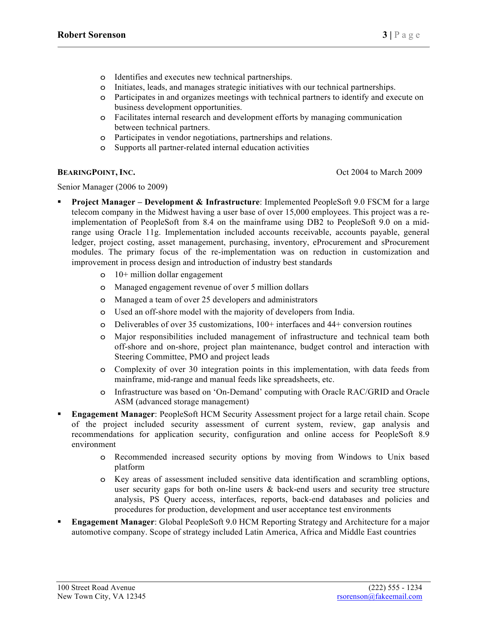- o Identifies and executes new technical partnerships.
- o Initiates, leads, and manages strategic initiatives with our technical partnerships.
- o Participates in and organizes meetings with technical partners to identify and execute on business development opportunities.
- o Facilitates internal research and development efforts by managing communication between technical partners.
- o Participates in vendor negotiations, partnerships and relations.
- o Supports all partner-related internal education activities

**BEARINGPOINT, INC.** Oct 2004 to March 2009

Senior Manager (2006 to 2009)

- § **Project Manager – Development & Infrastructure**: Implemented PeopleSoft 9.0 FSCM for a large telecom company in the Midwest having a user base of over 15,000 employees. This project was a reimplementation of PeopleSoft from 8.4 on the mainframe using DB2 to PeopleSoft 9.0 on a midrange using Oracle 11g. Implementation included accounts receivable, accounts payable, general ledger, project costing, asset management, purchasing, inventory, eProcurement and sProcurement modules. The primary focus of the re-implementation was on reduction in customization and improvement in process design and introduction of industry best standards
	- o 10+ million dollar engagement
	- o Managed engagement revenue of over 5 million dollars
	- o Managed a team of over 25 developers and administrators
	- o Used an off-shore model with the majority of developers from India.
	- o Deliverables of over 35 customizations, 100+ interfaces and 44+ conversion routines
	- o Major responsibilities included management of infrastructure and technical team both off-shore and on-shore, project plan maintenance, budget control and interaction with Steering Committee, PMO and project leads
	- o Complexity of over 30 integration points in this implementation, with data feeds from mainframe, mid-range and manual feeds like spreadsheets, etc.
	- o Infrastructure was based on 'On-Demand' computing with Oracle RAC/GRID and Oracle ASM (advanced storage management)
- § **Engagement Manager**: PeopleSoft HCM Security Assessment project for a large retail chain. Scope of the project included security assessment of current system, review, gap analysis and recommendations for application security, configuration and online access for PeopleSoft 8.9 environment
	- o Recommended increased security options by moving from Windows to Unix based platform
	- o Key areas of assessment included sensitive data identification and scrambling options, user security gaps for both on-line users  $\&$  back-end users and security tree structure analysis, PS Query access, interfaces, reports, back-end databases and policies and procedures for production, development and user acceptance test environments
- § **Engagement Manager**: Global PeopleSoft 9.0 HCM Reporting Strategy and Architecture for a major automotive company. Scope of strategy included Latin America, Africa and Middle East countries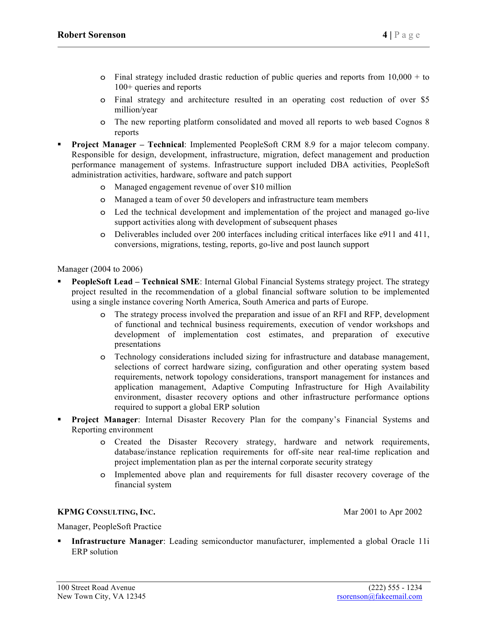- $\circ$  Final strategy included drastic reduction of public queries and reports from 10,000 + to 100+ queries and reports
- o Final strategy and architecture resulted in an operating cost reduction of over \$5 million/year
- o The new reporting platform consolidated and moved all reports to web based Cognos 8 reports
- § **Project Manager – Technical**: Implemented PeopleSoft CRM 8.9 for a major telecom company. Responsible for design, development, infrastructure, migration, defect management and production performance management of systems. Infrastructure support included DBA activities, PeopleSoft administration activities, hardware, software and patch support
	- o Managed engagement revenue of over \$10 million
	- o Managed a team of over 50 developers and infrastructure team members
	- o Led the technical development and implementation of the project and managed go-live support activities along with development of subsequent phases
	- o Deliverables included over 200 interfaces including critical interfaces like e911 and 411, conversions, migrations, testing, reports, go-live and post launch support

Manager (2004 to 2006)

- § **PeopleSoft Lead – Technical SME**: Internal Global Financial Systems strategy project. The strategy project resulted in the recommendation of a global financial software solution to be implemented using a single instance covering North America, South America and parts of Europe.
	- o The strategy process involved the preparation and issue of an RFI and RFP, development of functional and technical business requirements, execution of vendor workshops and development of implementation cost estimates, and preparation of executive presentations
	- o Technology considerations included sizing for infrastructure and database management, selections of correct hardware sizing, configuration and other operating system based requirements, network topology considerations, transport management for instances and application management, Adaptive Computing Infrastructure for High Availability environment, disaster recovery options and other infrastructure performance options required to support a global ERP solution
- **Project Manager:** Internal Disaster Recovery Plan for the company's Financial Systems and Reporting environment
	- o Created the Disaster Recovery strategy, hardware and network requirements, database/instance replication requirements for off-site near real-time replication and project implementation plan as per the internal corporate security strategy
	- o Implemented above plan and requirements for full disaster recovery coverage of the financial system

# **KPMG** CONSULTING, INC. The state of the state of the Mar 2001 to Apr 2002

Manager, PeopleSoft Practice

§ **Infrastructure Manager**: Leading semiconductor manufacturer, implemented a global Oracle 11i ERP solution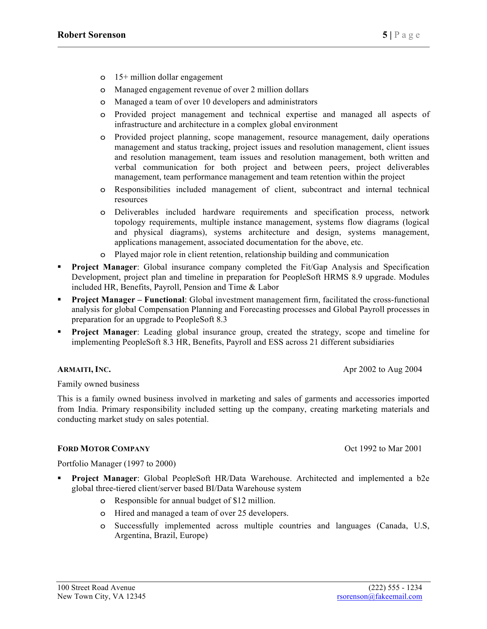- o 15+ million dollar engagement
- o Managed engagement revenue of over 2 million dollars
- o Managed a team of over 10 developers and administrators
- o Provided project management and technical expertise and managed all aspects of infrastructure and architecture in a complex global environment
- o Provided project planning, scope management, resource management, daily operations management and status tracking, project issues and resolution management, client issues and resolution management, team issues and resolution management, both written and verbal communication for both project and between peers, project deliverables management, team performance management and team retention within the project
- o Responsibilities included management of client, subcontract and internal technical resources
- o Deliverables included hardware requirements and specification process, network topology requirements, multiple instance management, systems flow diagrams (logical and physical diagrams), systems architecture and design, systems management, applications management, associated documentation for the above, etc.
- o Played major role in client retention, relationship building and communication
- **Project Manager:** Global insurance company completed the Fit/Gap Analysis and Specification Development, project plan and timeline in preparation for PeopleSoft HRMS 8.9 upgrade. Modules included HR, Benefits, Payroll, Pension and Time & Labor
- § **Project Manager – Functional**: Global investment management firm, facilitated the cross-functional analysis for global Compensation Planning and Forecasting processes and Global Payroll processes in preparation for an upgrade to PeopleSoft 8.3
- § **Project Manager**: Leading global insurance group, created the strategy, scope and timeline for implementing PeopleSoft 8.3 HR, Benefits, Payroll and ESS across 21 different subsidiaries

### **ARMAITI, INC.** Apr 2002 to Aug 2004

Family owned business

This is a family owned business involved in marketing and sales of garments and accessories imported from India. Primary responsibility included setting up the company, creating marketing materials and conducting market study on sales potential.

### **FORD MOTOR COMPANY** COMPANY COMPANY COMPANY COMPANY COMPANY COMPANY COMPANY COMPANY COMPANY COMPANY COMPANY

Portfolio Manager (1997 to 2000)

- § **Project Manager**: Global PeopleSoft HR/Data Warehouse. Architected and implemented a b2e global three-tiered client/server based BI/Data Warehouse system
	- o Responsible for annual budget of \$12 million.
	- o Hired and managed a team of over 25 developers.
	- o Successfully implemented across multiple countries and languages (Canada, U.S, Argentina, Brazil, Europe)